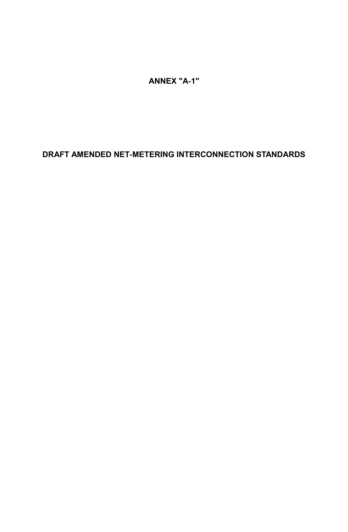**ANNEX "A-1"**

# **DRAFT AMENDED NET-METERING INTERCONNECTION STANDARDS**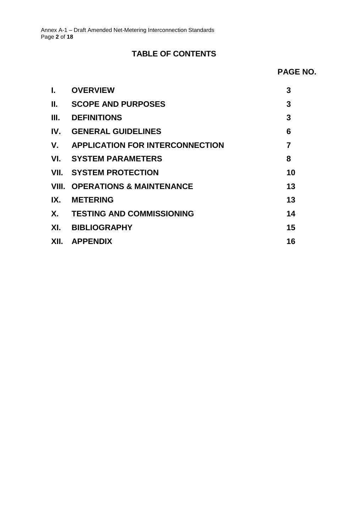# **TABLE OF CONTENTS**

## **PAGE NO.**

<span id="page-1-0"></span>

| I.  | <b>OVERVIEW</b>                           | 3              |
|-----|-------------------------------------------|----------------|
| П.  | <b>SCOPE AND PURPOSES</b>                 | 3              |
| Ш.  | <b>DEFINITIONS</b>                        | 3              |
|     | <b>IV. GENERAL GUIDELINES</b>             | 6              |
|     | V. APPLICATION FOR INTERCONNECTION        | $\overline{7}$ |
|     | VI. SYSTEM PARAMETERS                     | 8              |
|     | <b>VII. SYSTEM PROTECTION</b>             | 10             |
|     | <b>VIII. OPERATIONS &amp; MAINTENANCE</b> | 13             |
| IX. | <b>METERING</b>                           | 13             |
|     | X. TESTING AND COMMISSIONING              | 14             |
|     | XI. BIBLIOGRAPHY                          | 15             |
|     | XII. APPENDIX                             | 16             |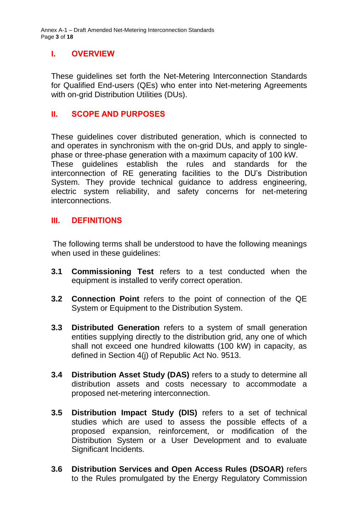Annex A-1 – Draft Amended Net-Metering Interconnection Standards Page **3** of **18**

# **I. OVERVIEW**

These guidelines set forth the Net-Metering Interconnection Standards for Qualified End-users (QEs) who enter into Net-metering Agreements with on-grid Distribution Utilities (DUs).

## <span id="page-2-0"></span>**II. SCOPE AND PURPOSES**

These guidelines cover distributed generation, which is connected to and operates in synchronism with the on-grid DUs, and apply to singlephase or three-phase generation with a maximum capacity of 100 kW. These guidelines establish the rules and standards for the interconnection of RE generating facilities to the DU's Distribution System. They provide technical guidance to address engineering, electric system reliability, and safety concerns for net-metering interconnections.

### <span id="page-2-1"></span>**III. DEFINITIONS**

 The following terms shall be understood to have the following meanings when used in these guidelines:

- **3.1 Commissioning Test** refers to a test conducted when the equipment is installed to verify correct operation.
- **3.2 Connection Point** refers to the point of connection of the QE System or Equipment to the Distribution System.
- **3.3 Distributed Generation** refers to a system of small generation entities supplying directly to the distribution grid, any one of which shall not exceed one hundred kilowatts (100 kW) in capacity, as defined in Section 4(j) of Republic Act No. 9513.
- **3.4 Distribution Asset Study (DAS)** refers to a study to determine all distribution assets and costs necessary to accommodate a proposed net-metering interconnection.
- **3.5 Distribution Impact Study (DIS)** refers to a set of technical studies which are used to assess the possible effects of a proposed expansion, reinforcement, or modification of the Distribution System or a User Development and to evaluate Significant Incidents.
- **3.6 Distribution Services and Open Access Rules (DSOAR)** refers to the Rules promulgated by the Energy Regulatory Commission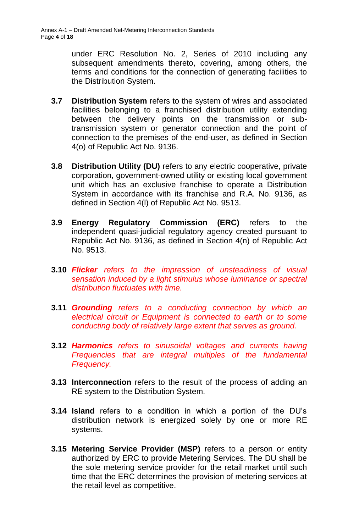under ERC Resolution No. 2, Series of 2010 including any subsequent amendments thereto, covering, among others, the terms and conditions for the connection of generating facilities to the Distribution System.

- **3.7 Distribution System** refers to the system of wires and associated facilities belonging to a franchised distribution utility extending between the delivery points on the transmission or subtransmission system or generator connection and the point of connection to the premises of the end-user, as defined in Section 4(o) of Republic Act No. 9136.
- **3.8 Distribution Utility (DU)** refers to any electric cooperative, private corporation, government-owned utility or existing local government unit which has an exclusive franchise to operate a Distribution System in accordance with its franchise and R.A. No. 9136, as defined in Section 4(l) of Republic Act No. 9513.
- **3.9 Energy Regulatory Commission (ERC)** refers to the independent quasi-judicial regulatory agency created pursuant to Republic Act No. 9136, as defined in Section 4(n) of Republic Act No. 9513.
- **3.10** *Flicker refers to the impression of unsteadiness of visual sensation induced by a light stimulus whose luminance or spectral distribution fluctuates with time.*
- **3.11** *Grounding refers to a conducting connection by which an electrical circuit or Equipment is connected to earth or to some conducting body of relatively large extent that serves as ground.*
- **3.12** *Harmonics refers to sinusoidal voltages and currents having Frequencies that are integral multiples of the fundamental Frequency.*
- **3.13 Interconnection** refers to the result of the process of adding an RE system to the Distribution System.
- **3.14 Island** refers to a condition in which a portion of the DU's distribution network is energized solely by one or more RE systems.
- **3.15 Metering Service Provider (MSP)** refers to a person or entity authorized by ERC to provide Metering Services. The DU shall be the sole metering service provider for the retail market until such time that the ERC determines the provision of metering services at the retail level as competitive.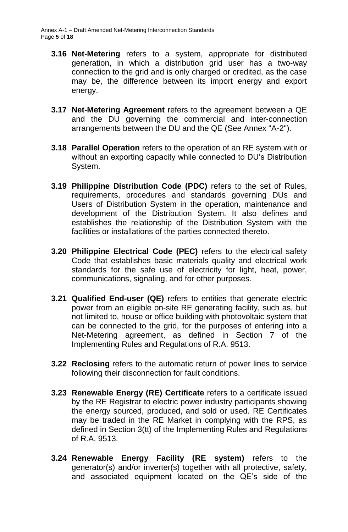- **3.16 Net-Metering** refers to a system, appropriate for distributed generation, in which a distribution grid user has a two-way connection to the grid and is only charged or credited, as the case may be, the difference between its import energy and export energy.
- **3.17 Net-Metering Agreement** refers to the agreement between a QE and the DU governing the commercial and inter-connection arrangements between the DU and the QE (See Annex "A-2").
- **3.18 Parallel Operation** refers to the operation of an RE system with or without an exporting capacity while connected to DU's Distribution System.
- **3.19 Philippine Distribution Code (PDC)** refers to the set of Rules, requirements, procedures and standards governing DUs and Users of Distribution System in the operation, maintenance and development of the Distribution System. It also defines and establishes the relationship of the Distribution System with the facilities or installations of the parties connected thereto.
- **3.20 Philippine Electrical Code (PEC)** refers to the electrical safety Code that establishes basic materials quality and electrical work standards for the safe use of electricity for light, heat, power, communications, signaling, and for other purposes.
- **3.21 Qualified End-user (QE)** refers to entities that generate electric power from an eligible on-site RE generating facility, such as, but not limited to, house or office building with photovoltaic system that can be connected to the grid, for the purposes of entering into a Net-Metering agreement, as defined in Section 7 of the Implementing Rules and Regulations of R.A. 9513.
- **3.22 Reclosing** refers to the automatic return of power lines to service following their disconnection for fault conditions.
- **3.23 Renewable Energy (RE) Certificate** refers to a certificate issued by the RE Registrar to electric power industry participants showing the energy sourced, produced, and sold or used. RE Certificates may be traded in the RE Market in complying with the RPS, as defined in Section 3(tt) of the Implementing Rules and Regulations of R.A. 9513.
- **3.24 Renewable Energy Facility (RE system)** refers to the generator(s) and/or inverter(s) together with all protective, safety, and associated equipment located on the QE's side of the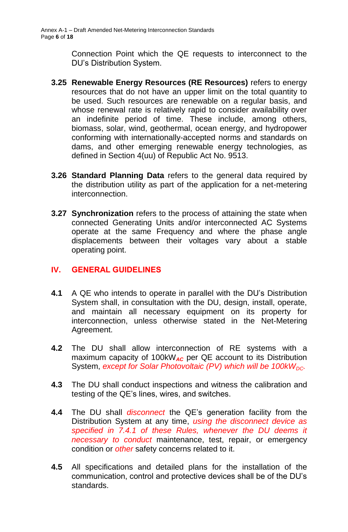Connection Point which the QE requests to interconnect to the DU's Distribution System.

- **3.25 Renewable Energy Resources (RE Resources)** refers to energy resources that do not have an upper limit on the total quantity to be used. Such resources are renewable on a regular basis, and whose renewal rate is relatively rapid to consider availability over an indefinite period of time. These include, among others, biomass, solar, wind, geothermal, ocean energy, and hydropower conforming with internationally-accepted norms and standards on dams, and other emerging renewable energy technologies, as defined in Section 4(uu) of Republic Act No. 9513.
- **3.26 Standard Planning Data** refers to the general data required by the distribution utility as part of the application for a net-metering interconnection.
- **3.27 Synchronization** refers to the process of attaining the state when connected Generating Units and/or interconnected AC Systems operate at the same Frequency and where the phase angle displacements between their voltages vary about a stable operating point.

# <span id="page-5-0"></span>**IV. GENERAL GUIDELINES**

- **4.1** A QE who intends to operate in parallel with the DU's Distribution System shall, in consultation with the DU, design, install, operate, and maintain all necessary equipment on its property for interconnection, unless otherwise stated in the Net-Metering Agreement.
- **4.2** The DU shall allow interconnection of RE systems with a maximum capacity of 100kW*AC* per QE account to its Distribution System, *except for Solar Photovoltaic (PV)* which will be 100kW<sub>DC</sub>.
- **4.3** The DU shall conduct inspections and witness the calibration and testing of the QE's lines, wires, and switches.
- **4.4** The DU shall *disconnect* the QE's generation facility from the Distribution System at any time, *using the disconnect device as specified in 7.4.1 of these Rules, whenever the DU deems it necessary to conduct* maintenance, test, repair, or emergency condition or *other* safety concerns related to it.
- **4.5** All specifications and detailed plans for the installation of the communication, control and protective devices shall be of the DU's standards.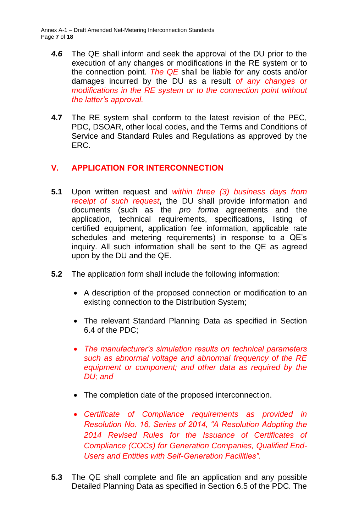Annex A-1 – Draft Amended Net-Metering Interconnection Standards Page **7** of **18**

- *4.6* The QE shall inform and seek the approval of the DU prior to the execution of any changes or modifications in the RE system or to the connection point. *The QE* shall be liable for any costs and/or damages incurred by the DU as a result *of any changes or modifications in the RE system or to the connection point without the latter's approval.*
- **4.7** The RE system shall conform to the latest revision of the PEC, PDC, DSOAR, other local codes, and the Terms and Conditions of Service and Standard Rules and Regulations as approved by the ERC.

# <span id="page-6-0"></span>**V. APPLICATION FOR INTERCONNECTION**

- **5.1** Upon written request and *within three (3) business days from receipt of such request***,** the DU shall provide information and documents (such as the *pro forma* agreements and the application, technical requirements, specifications, listing of certified equipment, application fee information, applicable rate schedules and metering requirements) in response to a QE's inquiry. All such information shall be sent to the QE as agreed upon by the DU and the QE.
- **5.2** The application form shall include the following information:
	- A description of the proposed connection or modification to an existing connection to the Distribution System;
	- The relevant Standard Planning Data as specified in Section 6.4 of the PDC;
	- *The manufacturer's simulation results on technical parameters such as abnormal voltage and abnormal frequency of the RE equipment or component; and other data as required by the DU; and*
	- The completion date of the proposed interconnection.
	- *Certificate of Compliance requirements as provided in Resolution No. 16, Series of 2014, "A Resolution Adopting the 2014 Revised Rules for the Issuance of Certificates of Compliance (COCs) for Generation Companies, Qualified End-Users and Entities with Self-Generation Facilities".*
- **5.3** The QE shall complete and file an application and any possible Detailed Planning Data as specified in Section 6.5 of the PDC. The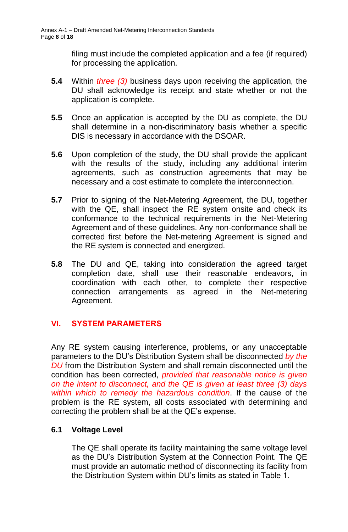filing must include the completed application and a fee (if required) for processing the application.

- **5.4** Within *three (3)* business days upon receiving the application, the DU shall acknowledge its receipt and state whether or not the application is complete.
- **5.5** Once an application is accepted by the DU as complete, the DU shall determine in a non-discriminatory basis whether a specific DIS is necessary in accordance with the DSOAR.
- **5.6** Upon completion of the study, the DU shall provide the applicant with the results of the study, including any additional interim agreements, such as construction agreements that may be necessary and a cost estimate to complete the interconnection.
- **5.7** Prior to signing of the Net-Metering Agreement, the DU, together with the QE, shall inspect the RE system onsite and check its conformance to the technical requirements in the Net-Metering Agreement and of these guidelines. Any non-conformance shall be corrected first before the Net-metering Agreement is signed and the RE system is connected and energized.
- **5.8** The DU and QE, taking into consideration the agreed target completion date, shall use their reasonable endeavors, in coordination with each other, to complete their respective connection arrangements as agreed in the Net-metering Agreement.

### <span id="page-7-0"></span>**VI. SYSTEM PARAMETERS**

Any RE system causing interference, problems, or any unacceptable parameters to the DU's Distribution System shall be disconnected *by the DU* from the Distribution System and shall remain disconnected until the condition has been corrected, *provided that reasonable notice is given on the intent to disconnect, and the QE is given at least three (3) days within which to remedy the hazardous condition*. If the cause of the problem is the RE system, all costs associated with determining and correcting the problem shall be at the QE's expense.

### **6.1 Voltage Level**

The QE shall operate its facility maintaining the same voltage level as the DU's Distribution System at the Connection Point. The QE must provide an automatic method of disconnecting its facility from the Distribution System within DU's limits as stated in Table 1.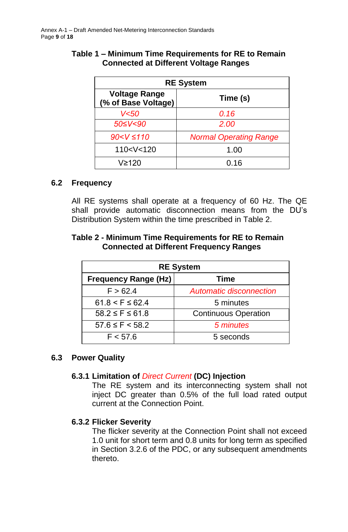| <b>RE System</b>                            |                               |  |  |
|---------------------------------------------|-------------------------------|--|--|
| <b>Voltage Range</b><br>(% of Base Voltage) | Time (s)                      |  |  |
| V<50                                        | 0.16                          |  |  |
| 50≤V<90                                     | 2.00                          |  |  |
| $90 < V \le 110$                            | <b>Normal Operating Range</b> |  |  |
| 110 < V < 120                               | 1.00                          |  |  |
| V≥120                                       | 0.16                          |  |  |

## **Table 1 – Minimum Time Requirements for RE to Remain Connected at Different Voltage Ranges**

### **6.2 Frequency**

All RE systems shall operate at a frequency of 60 Hz. The QE shall provide automatic disconnection means from the DU's Distribution System within the time prescribed in Table 2.

### **Table 2 - Minimum Time Requirements for RE to Remain Connected at Different Frequency Ranges**

| <b>RE System</b>            |                                |  |  |
|-----------------------------|--------------------------------|--|--|
| <b>Frequency Range (Hz)</b> | Time                           |  |  |
| F > 62.4                    | <b>Automatic disconnection</b> |  |  |
| $61.8 < F \le 62.4$         | 5 minutes                      |  |  |
| $58.2 \leq F \leq 61.8$     | <b>Continuous Operation</b>    |  |  |
| $57.6 \leq F \leq 58.2$     | 5 minutes                      |  |  |
| F < 57.6                    | 5 seconds                      |  |  |

### **6.3 Power Quality**

# **6.3.1 Limitation of** *Direct Current* **(DC) Injection**

The RE system and its interconnecting system shall not inject DC greater than 0.5% of the full load rated output current at the Connection Point.

### **6.3.2 Flicker Severity**

The flicker severity at the Connection Point shall not exceed 1.0 unit for short term and 0.8 units for long term as specified in Section 3.2.6 of the PDC, or any subsequent amendments thereto.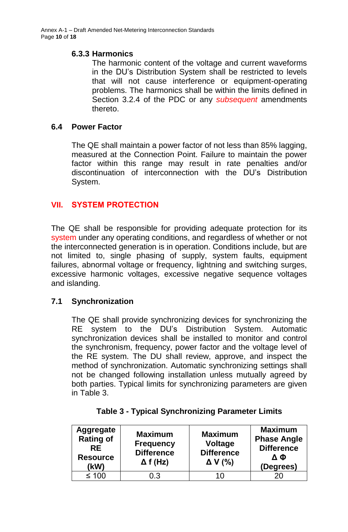### **6.3.3 Harmonics**

The harmonic content of the voltage and current waveforms in the DU's Distribution System shall be restricted to levels that will not cause interference or equipment-operating problems. The harmonics shall be within the limits defined in Section 3.2.4 of the PDC or any *subsequent* amendments thereto.

### **6.4 Power Factor**

The QE shall maintain a power factor of not less than 85% lagging, measured at the Connection Point. Failure to maintain the power factor within this range may result in rate penalties and/or discontinuation of interconnection with the DU's Distribution System.

# <span id="page-9-0"></span>**VII. SYSTEM PROTECTION**

The QE shall be responsible for providing adequate protection for its system under any operating conditions, and regardless of whether or not the interconnected generation is in operation. Conditions include, but are not limited to, single phasing of supply, system faults, equipment failures, abnormal voltage or frequency, lightning and switching surges, excessive harmonic voltages, excessive negative sequence voltages and islanding.

### **7.1 Synchronization**

The QE shall provide synchronizing devices for synchronizing the RE system to the DU's Distribution System. Automatic synchronization devices shall be installed to monitor and control the synchronism, frequency, power factor and the voltage level of the RE system. The DU shall review, approve, and inspect the method of synchronization. Automatic synchronizing settings shall not be changed following installation unless mutually agreed by both parties. Typical limits for synchronizing parameters are given in Table 3.

| <b>Aggregate</b><br><b>Rating of</b><br><b>RE</b><br><b>Resource</b><br>(kW) | <b>Maximum</b><br><b>Frequency</b><br><b>Difference</b><br>$\Delta f$ (Hz) | <b>Maximum</b><br><b>Voltage</b><br><b>Difference</b><br>$\Delta V$ (%) | <b>Maximum</b><br><b>Phase Angle</b><br><b>Difference</b><br>ΔΦ<br>(Degrees) |
|------------------------------------------------------------------------------|----------------------------------------------------------------------------|-------------------------------------------------------------------------|------------------------------------------------------------------------------|
| $\leq 100$                                                                   | 0.3                                                                        |                                                                         |                                                                              |

|  |  | <b>Table 3 - Typical Synchronizing Parameter Limits</b> |  |
|--|--|---------------------------------------------------------|--|
|  |  |                                                         |  |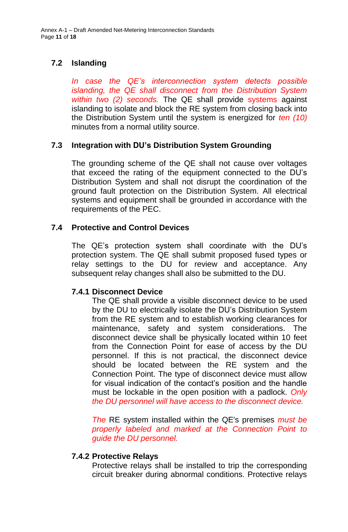# **7.2 Islanding**

*In case the QE's interconnection system detects possible islanding, the QE shall disconnect from the Distribution System within two (2) seconds.* The QE shall provide systems against islanding to isolate and block the RE system from closing back into the Distribution System until the system is energized for *ten (10)*  minutes from a normal utility source.

### **7.3 Integration with DU's Distribution System Grounding**

The grounding scheme of the QE shall not cause over voltages that exceed the rating of the equipment connected to the DU's Distribution System and shall not disrupt the coordination of the ground fault protection on the Distribution System. All electrical systems and equipment shall be grounded in accordance with the requirements of the PEC.

### **7.4 Protective and Control Devices**

The QE's protection system shall coordinate with the DU's protection system. The QE shall submit proposed fused types or relay settings to the DU for review and acceptance. Any subsequent relay changes shall also be submitted to the DU.

### **7.4.1 Disconnect Device**

The QE shall provide a visible disconnect device to be used by the DU to electrically isolate the DU's Distribution System from the RE system and to establish working clearances for maintenance, safety and system considerations. The disconnect device shall be physically located within 10 feet from the Connection Point for ease of access by the DU personnel. If this is not practical, the disconnect device should be located between the RE system and the Connection Point. The type of disconnect device must allow for visual indication of the contact's position and the handle must be lockable in the open position with a padlock. *Only the DU personnel will have access to the disconnect device.*

*The* RE system installed within the QE's premises *must be properly labeled and marked at the Connection Point to guide the DU personnel.*

### **7.4.2 Protective Relays**

Protective relays shall be installed to trip the corresponding circuit breaker during abnormal conditions. Protective relays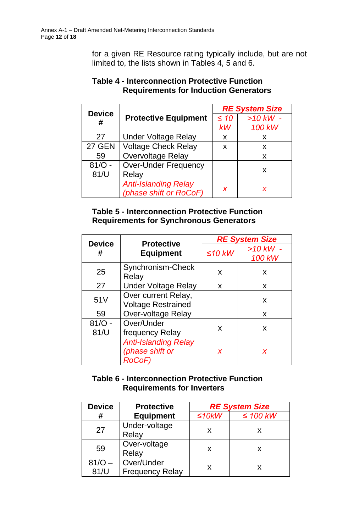for a given RE Resource rating typically include, but are not limited to, the lists shown in Tables 4, 5 and 6.

| <b>Device</b> | <b>Protective Equipment</b> | <b>RE System Size</b> |              |  |
|---------------|-----------------------------|-----------------------|--------------|--|
| #             |                             | $\leq 10$             | $>10$ kW $-$ |  |
|               |                             | kW                    | 100 kW       |  |
| 27            | <b>Under Voltage Relay</b>  | X                     | X            |  |
| <b>27 GEN</b> | <b>Voltage Check Relay</b>  | X                     | X            |  |
| 59            | <b>Overvoltage Relay</b>    |                       | X            |  |
| $81/O -$      | <b>Over-Under Frequency</b> |                       |              |  |
| 81/U          | Relay                       |                       | X            |  |
|               | <b>Anti-Islanding Relay</b> | X                     |              |  |
|               | (phase shift or RoCoF)      |                       |              |  |

### **Table 4 - Interconnection Protective Function Requirements for Induction Generators**

# **Table 5 - Interconnection Protective Function Requirements for Synchronous Generators**

| <b>Device</b>    | <b>Protective</b>                                               | <b>RE System Size</b> |                        |  |
|------------------|-----------------------------------------------------------------|-----------------------|------------------------|--|
| #                | <b>Equipment</b>                                                | $\leq$ 10 kW          | $>10$ kW $-$<br>100 kW |  |
| 25               | Synchronism-Check<br>Relay                                      | X                     | X                      |  |
| 27               | <b>Under Voltage Relay</b>                                      | X                     | X                      |  |
| 51 <sub>V</sub>  | Over current Relay,<br><b>Voltage Restrained</b>                |                       | X                      |  |
| 59               | <b>Over-voltage Relay</b>                                       |                       | X                      |  |
| $81/O -$<br>81/U | Over/Under<br>frequency Relay                                   | X                     | X                      |  |
|                  | <b>Anti-Islanding Relay</b><br>(phase shift or<br><b>RoCoF)</b> | X                     | X                      |  |

### **Table 6 - Interconnection Protective Function Requirements for Inverters**

| <b>Device</b> | <b>Protective</b>      | <b>RE System Size</b> |               |
|---------------|------------------------|-----------------------|---------------|
| #             | <b>Equipment</b>       | ≤10kW                 | $\leq$ 100 kW |
| 27            | Under-voltage          | X                     | Х             |
|               | Relay                  |                       |               |
|               | Over-voltage           |                       |               |
| 59            | Relay                  | X                     |               |
| $81/O -$      | Over/Under             |                       |               |
| 81/U          | <b>Frequency Relay</b> | x                     |               |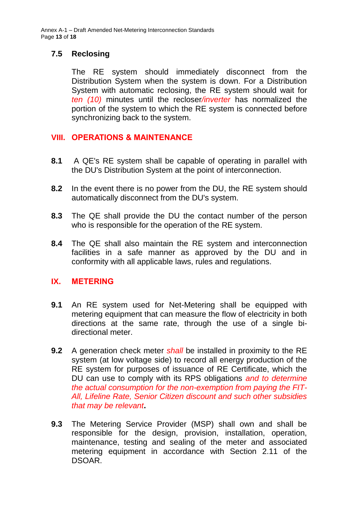Annex A-1 – Draft Amended Net-Metering Interconnection Standards Page **13** of **18**

### **7.5 Reclosing**

The RE system should immediately disconnect from the Distribution System when the system is down. For a Distribution System with automatic reclosing, the RE system should wait for *ten (10)* minutes until the recloser*/inverter* has normalized the portion of the system to which the RE system is connected before synchronizing back to the system.

### <span id="page-12-0"></span>**VIII. OPERATIONS & MAINTENANCE**

- **8.1** A QE's RE system shall be capable of operating in parallel with the DU's Distribution System at the point of interconnection.
- **8.2** In the event there is no power from the DU, the RE system should automatically disconnect from the DU's system.
- **8.3** The QE shall provide the DU the contact number of the person who is responsible for the operation of the RE system.
- **8.4** The QE shall also maintain the RE system and interconnection facilities in a safe manner as approved by the DU and in conformity with all applicable laws, rules and regulations.

### <span id="page-12-1"></span>**IX. METERING**

- **9.1** An RE system used for Net-Metering shall be equipped with metering equipment that can measure the flow of electricity in both directions at the same rate, through the use of a single bidirectional meter.
- **9.2** A generation check meter *shall* be installed in proximity to the RE system (at low voltage side) to record all energy production of the RE system for purposes of issuance of RE Certificate, which the DU can use to comply with its RPS obligations *and to determine the actual consumption for the non-exemption from paying the FIT-All, Lifeline Rate, Senior Citizen discount and such other subsidies that may be relevant***.**
- **9.3** The Metering Service Provider (MSP) shall own and shall be responsible for the design, provision, installation, operation, maintenance, testing and sealing of the meter and associated metering equipment in accordance with Section 2.11 of the DSOAR.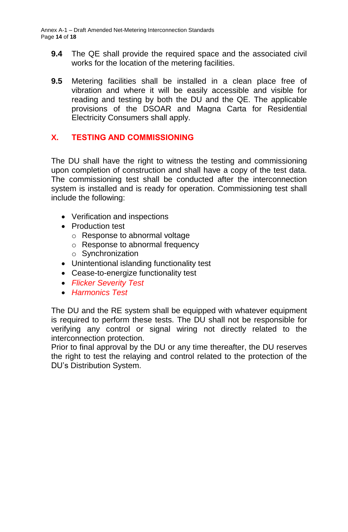- **9.4** The QE shall provide the required space and the associated civil works for the location of the metering facilities.
- **9.5** Metering facilities shall be installed in a clean place free of vibration and where it will be easily accessible and visible for reading and testing by both the DU and the QE. The applicable provisions of the DSOAR and Magna Carta for Residential Electricity Consumers shall apply.

## <span id="page-13-0"></span>**X. TESTING AND COMMISSIONING**

The DU shall have the right to witness the testing and commissioning upon completion of construction and shall have a copy of the test data. The commissioning test shall be conducted after the interconnection system is installed and is ready for operation. Commissioning test shall include the following:

- Verification and inspections
- Production test
	- o Response to abnormal voltage
	- o Response to abnormal frequency
	- o Synchronization
- Unintentional islanding functionality test
- Cease-to-energize functionality test
- *Flicker Severity Test*
- *Harmonics Test*

The DU and the RE system shall be equipped with whatever equipment is required to perform these tests. The DU shall not be responsible for verifying any control or signal wiring not directly related to the interconnection protection.

Prior to final approval by the DU or any time thereafter, the DU reserves the right to test the relaying and control related to the protection of the DU's Distribution System.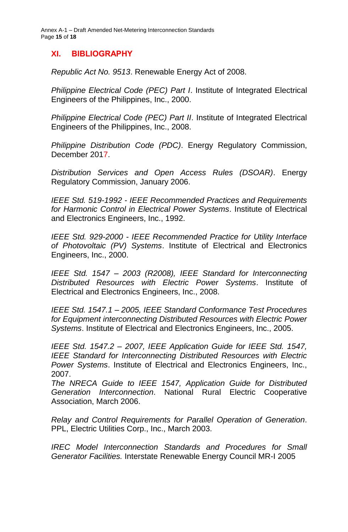Annex A-1 – Draft Amended Net-Metering Interconnection Standards Page **15** of **18**

# <span id="page-14-0"></span>**XI. BIBLIOGRAPHY**

*Republic Act No. 9513*. Renewable Energy Act of 2008.

*Philippine Electrical Code (PEC) Part I*. Institute of Integrated Electrical Engineers of the Philippines, Inc., 2000.

*Philippine Electrical Code (PEC) Part II*. Institute of Integrated Electrical Engineers of the Philippines, Inc., 2008.

*Philippine Distribution Code (PDC)*. Energy Regulatory Commission, December 2017.

*Distribution Services and Open Access Rules (DSOAR)*. Energy Regulatory Commission, January 2006.

*IEEE Std. 519-1992 - IEEE Recommended Practices and Requirements for Harmonic Control in Electrical Power Systems*. Institute of Electrical and Electronics Engineers, Inc., 1992.

*IEEE Std. 929-2000 - IEEE Recommended Practice for Utility Interface of Photovoltaic (PV) Systems*. Institute of Electrical and Electronics Engineers, Inc., 2000.

*IEEE Std. 1547 – 2003 (R2008), IEEE Standard for Interconnecting Distributed Resources with Electric Power Systems*. Institute of Electrical and Electronics Engineers, Inc., 2008.

*IEEE Std. 1547.1 – 2005, IEEE Standard Conformance Test Procedures for Equipment interconnecting Distributed Resources with Electric Power Systems*. Institute of Electrical and Electronics Engineers, Inc., 2005.

*IEEE Std. 1547.2 – 2007, IEEE Application Guide for IEEE Std. 1547, IEEE Standard for Interconnecting Distributed Resources with Electric Power Systems*. Institute of Electrical and Electronics Engineers, Inc., 2007.

*The NRECA Guide to IEEE 1547, Application Guide for Distributed Generation Interconnection*. National Rural Electric Cooperative Association, March 2006.

*Relay and Control Requirements for Parallel Operation of Generation*. PPL, Electric Utilities Corp., Inc., March 2003.

*IREC Model Interconnection Standards and Procedures for Small Generator Facilities.* Interstate Renewable Energy Council MR-I 2005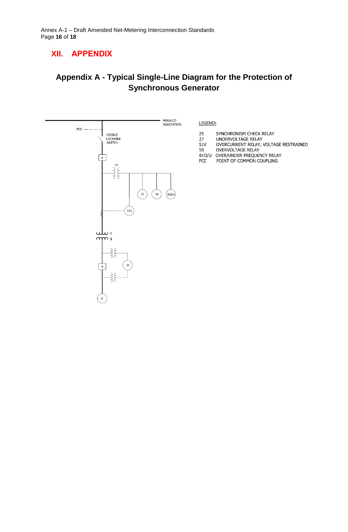# <span id="page-15-0"></span>**XII. APPENDIX**

# **Appendix A - Typical Single-Line Diagram for the Protection of Synchronous Generator**

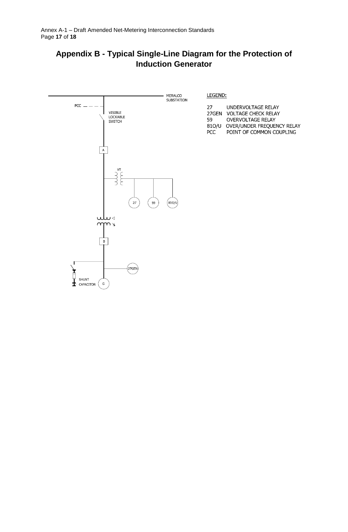# **Appendix B - Typical Single-Line Diagram for the Protection of Induction Generator**